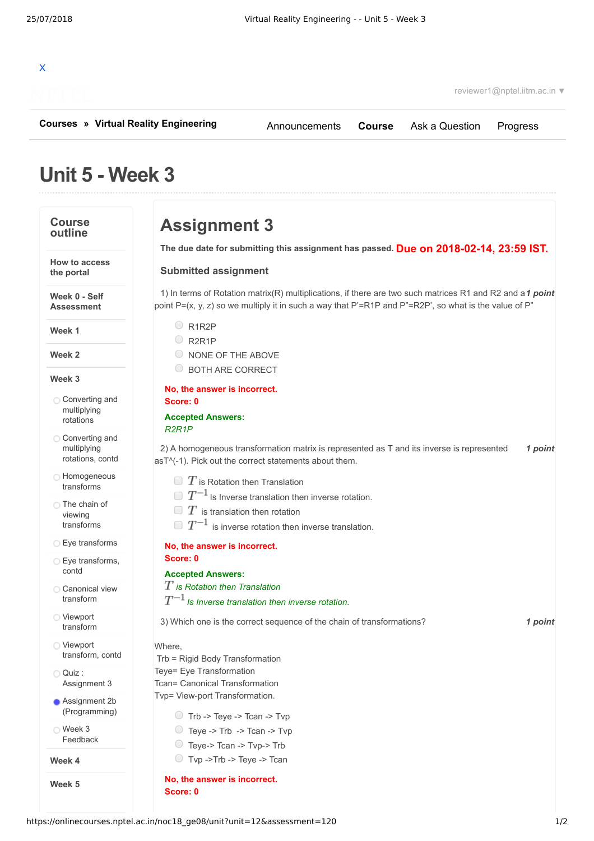

reviewer1@nptel.iitm.ac.in ▼

**[Courses](https://onlinecourses.nptel.ac.in/) » [Virtual Reality Engineering](https://onlinecourses.nptel.ac.in/noc18_ge08/course)**

[Announcements](https://onlinecourses.nptel.ac.in/noc18_ge08/announcements) **[Course](https://onlinecourses.nptel.ac.in/noc18_ge08/course)** [Ask a Question](https://onlinecourses.nptel.ac.in/noc18_ge08/forum) [Progress](https://onlinecourses.nptel.ac.in/noc18_ge08/student/home)

# **Unit 5 - Week 3**

#### **Course outline**

**How to access the portal**

**Week 0 - Self Assessment**

**Week 1**

**Week 2**

**Week 3**

- **[Converting](https://onlinecourses.nptel.ac.in/noc18_ge08/unit?unit=12&lesson=39) and** multiplying rotations
- [Converting](https://onlinecourses.nptel.ac.in/noc18_ge08/unit?unit=12&lesson=40) and multiplying rotations, contd
- **C** [Homogeneous](https://onlinecourses.nptel.ac.in/noc18_ge08/unit?unit=12&lesson=41) transforms
- ◯ The chain of viewing [transforms](https://onlinecourses.nptel.ac.in/noc18_ge08/unit?unit=12&lesson=42)
- **Eye [transforms](https://onlinecourses.nptel.ac.in/noc18_ge08/unit?unit=12&lesson=43)**
- **Eye [transforms,](https://onlinecourses.nptel.ac.in/noc18_ge08/unit?unit=12&lesson=44)** contd
- [Canonical](https://onlinecourses.nptel.ac.in/noc18_ge08/unit?unit=12&lesson=45) view transform
- Viewport [transform](https://onlinecourses.nptel.ac.in/noc18_ge08/unit?unit=12&lesson=46)
- Viewport [transform,](https://onlinecourses.nptel.ac.in/noc18_ge08/unit?unit=12&lesson=47) contd
- Quiz : [Assignment](https://onlinecourses.nptel.ac.in/noc18_ge08/assessment?name=120) 3
- **Assignment 2b** [\(Programming\)](https://onlinecourses.nptel.ac.in/noc18_ge08/subjective?name=121)

Week 3 [Feedback](https://onlinecourses.nptel.ac.in/noc18_ge08/unit?unit=12&lesson=123)

**Week 4**

**Week 5**

# **Assignment 3**

**Due on 2018-02-14, 23:59 IST. The due date for submitting this assignment has passed.**

#### **Submitted assignment**

1) In terms of Rotation matrix(R) multiplications, if there are two such matrices R1 and R2 and a 1 point point  $P=(x, y, z)$  so we multiply it in such a way that  $P'=R1P$  and  $P''=R2P'$ , so what is the value of  $P''$ 

- $Q$ R1R2P
- O R2R1P
- O NONE OF THE ABOVE
- O BOTH ARE CORRECT

### **No, the answer is incorrect. Score: 0**

#### **Accepted Answers:** *R2R1P*

2) A homogeneous transformation matrix is represented as T and its inverse is represented **1 point** asT^(-1). Pick out the correct statements about them.

- $\Box$   $T$  is Rotation then Translation
- $\Box$   $T^{-1}$  is Inverse translation then inverse rotation.
- $\Box~T$  is translation then rotation
- $\Box~T^{-1}$  is inverse rotation then inverse translation.

#### **No, the answer is incorrect. Score: 0**

### **Accepted Answers:**

### *is Rotation then Translation*

## $T^{-1}$  *Is Inverse translation then inverse rotation.*

3) *1 point* Which one is the correct sequence of the chain of transformations?

### Where,

- Trb = Rigid Body Transformation Teye= Eye Transformation Tcan= Canonical Transformation Tvp= View-port Transformation.  $\bigcirc$  Trb -> Teye -> Tcan -> Tvp
	- Teye -> Trb -> Tcan -> Tvp
	- Teye-> Tcan -> Tvp-> Trb
	- Tvp ->Trb -> Teye -> Tcan

#### **No, the answer is incorrect. Score: 0**